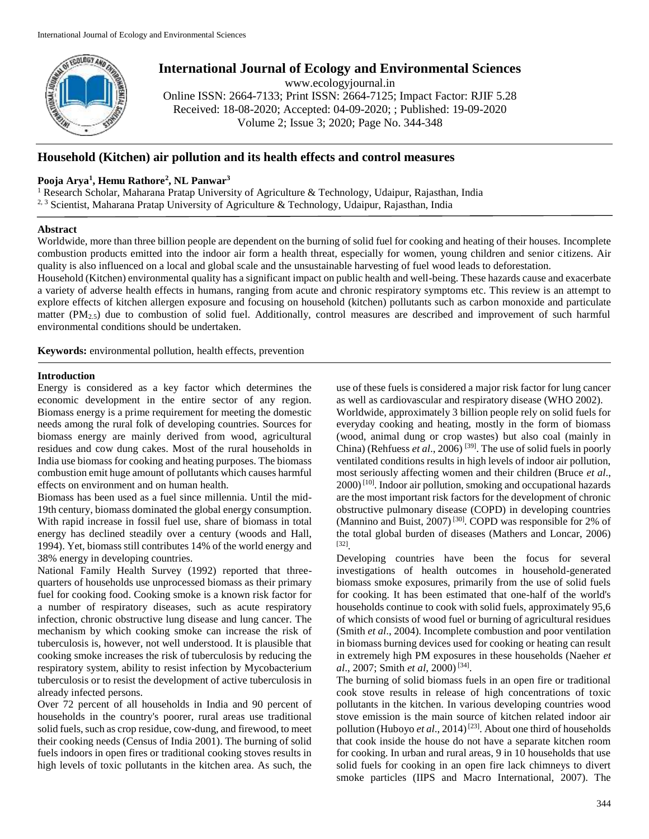

# **International Journal of Ecology and Environmental Sciences**

www.ecologyjournal.in

Online ISSN: 2664-7133; Print ISSN: 2664-7125; Impact Factor: RJIF 5.28 Received: 18-08-2020; Accepted: 04-09-2020; ; Published: 19-09-2020 Volume 2; Issue 3; 2020; Page No. 344-348

## **Household (Kitchen) air pollution and its health effects and control measures**

## **Pooja Arya<sup>1</sup> , Hemu Rathore<sup>2</sup> , NL Panwar<sup>3</sup>**

<sup>1</sup> Research Scholar, Maharana Pratap University of Agriculture & Technology, Udaipur, Rajasthan, India <sup>2, 3</sup> Scientist, Maharana Pratap University of Agriculture & Technology, Udaipur, Rajasthan, India

### **Abstract**

Worldwide, more than three billion people are dependent on the burning of solid fuel for cooking and heating of their houses. Incomplete combustion products emitted into the indoor air form a health threat, especially for women, young children and senior citizens. Air quality is also influenced on a local and global scale and the unsustainable harvesting of fuel wood leads to deforestation.

Household (Kitchen) environmental quality has a significant impact on public health and well-being. These hazards cause and exacerbate a variety of adverse health effects in humans, ranging from acute and chronic respiratory symptoms etc. This review is an attempt to explore effects of kitchen allergen exposure and focusing on household (kitchen) pollutants such as carbon monoxide and particulate matter (PM2.5) due to combustion of solid fuel. Additionally, control measures are described and improvement of such harmful environmental conditions should be undertaken.

**Keywords:** environmental pollution, health effects, prevention

### **Introduction**

Energy is considered as a key factor which determines the economic development in the entire sector of any region. Biomass energy is a prime requirement for meeting the domestic needs among the rural folk of developing countries. Sources for biomass energy are mainly derived from wood, agricultural residues and cow dung cakes. Most of the rural households in India use biomass for cooking and heating purposes. The biomass combustion emit huge amount of pollutants which causes harmful effects on environment and on human health.

Biomass has been used as a fuel since millennia. Until the mid-19th century, biomass dominated the global energy consumption. With rapid increase in fossil fuel use, share of biomass in total energy has declined steadily over a century (woods and Hall, 1994). Yet, biomass still contributes 14% of the world energy and 38% energy in developing countries.

National Family Health Survey (1992) reported that threequarters of households use unprocessed biomass as their primary fuel for cooking food. Cooking smoke is a known risk factor for a number of respiratory diseases, such as acute respiratory infection, chronic obstructive lung disease and lung cancer. The mechanism by which cooking smoke can increase the risk of tuberculosis is, however, not well understood. It is plausible that cooking smoke increases the risk of tuberculosis by reducing the respiratory system, ability to resist infection by Mycobacterium tuberculosis or to resist the development of active tuberculosis in already infected persons.

Over 72 percent of all households in India and 90 percent of households in the country's poorer, rural areas use traditional solid fuels, such as crop residue, cow-dung, and firewood, to meet their cooking needs (Census of India 2001). The burning of solid fuels indoors in open fires or traditional cooking stoves results in high levels of toxic pollutants in the kitchen area. As such, the use of these fuels is considered a major risk factor for lung cancer as well as cardiovascular and respiratory disease (WHO 2002).

Worldwide, approximately 3 billion people rely on solid fuels for everyday cooking and heating, mostly in the form of biomass (wood, animal dung or crop wastes) but also coal (mainly in China) (Rehfuess *et al.*, 2006)<sup>[39]</sup>. The use of solid fuels in poorly ventilated conditions results in high levels of indoor air pollution, most seriously affecting women and their children (Bruce *et al*.,  $2000$ <sup>[10]</sup>. Indoor air pollution, smoking and occupational hazards are the most important risk factors for the development of chronic obstructive pulmonary disease (COPD) in developing countries (Mannino and Buist, 2007)<sup>[30]</sup>. COPD was responsible for 2% of the total global burden of diseases (Mathers and Loncar, 2006) [32] .

Developing countries have been the focus for several investigations of health outcomes in household-generated biomass smoke exposures, primarily from the use of solid fuels for cooking. It has been estimated that one-half of the world's households continue to cook with solid fuels, approximately 95,6 of which consists of wood fuel or burning of agricultural residues (Smith *et al*., 2004). Incomplete combustion and poor ventilation in biomass burning devices used for cooking or heating can result in extremely high PM exposures in these households (Naeher *et al*., 2007; Smith *et al*, 2000) [34] .

The burning of solid biomass fuels in an open fire or traditional cook stove results in release of high concentrations of toxic pollutants in the kitchen. In various developing countries wood stove emission is the main source of kitchen related indoor air pollution (Huboyo et al., 2014)<sup>[23]</sup>. About one third of households that cook inside the house do not have a separate kitchen room for cooking. In urban and rural areas, 9 in 10 households that use solid fuels for cooking in an open fire lack chimneys to divert smoke particles (IIPS and Macro International, 2007). The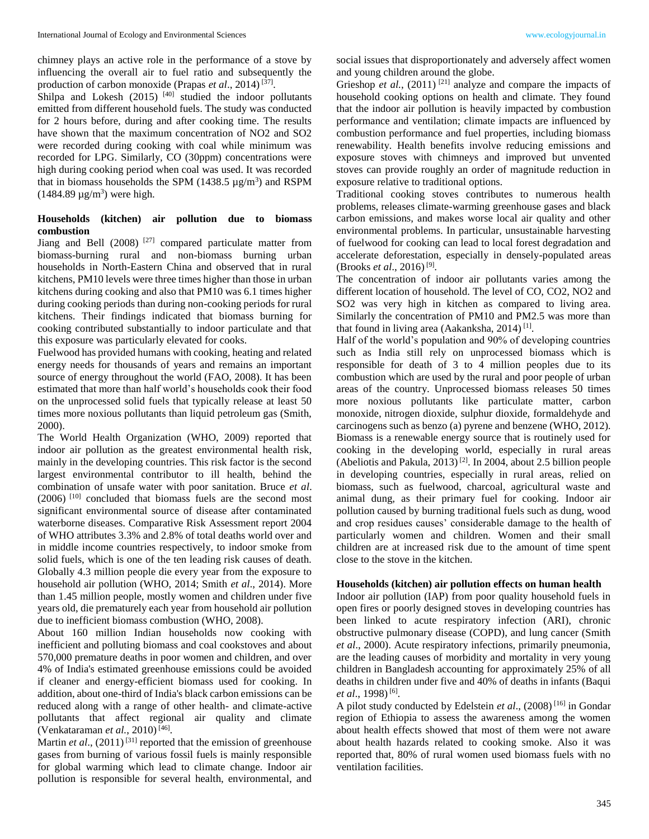chimney plays an active role in the performance of a stove by influencing the overall air to fuel ratio and subsequently the production of carbon monoxide (Prapas *et al.*, 2014)<sup>[37]</sup>.

Shilpa and Lokesh  $(2015)$ <sup>[40]</sup> studied the indoor pollutants emitted from different household fuels. The study was conducted for 2 hours before, during and after cooking time. The results have shown that the maximum concentration of NO2 and SO2 were recorded during cooking with coal while minimum was recorded for LPG. Similarly, CO (30ppm) concentrations were high during cooking period when coal was used. It was recorded that in biomass households the SPM  $(1438.5 \text{ µg/m}^3)$  and RSPM  $(1484.89 \,\mu g/m^3)$  were high.

## **Households (kitchen) air pollution due to biomass combustion**

Jiang and Bell (2008) [27] compared particulate matter from biomass-burning rural and non-biomass burning urban households in North-Eastern China and observed that in rural kitchens, PM10 levels were three times higher than those in urban kitchens during cooking and also that PM10 was 6.1 times higher during cooking periods than during non-cooking periods for rural kitchens. Their findings indicated that biomass burning for cooking contributed substantially to indoor particulate and that this exposure was particularly elevated for cooks.

Fuelwood has provided humans with cooking, heating and related energy needs for thousands of years and remains an important source of energy throughout the world (FAO, 2008). It has been estimated that more than half world's households cook their food on the unprocessed solid fuels that typically release at least 50 times more noxious pollutants than liquid petroleum gas (Smith, 2000).

The World Health Organization (WHO, 2009) reported that indoor air pollution as the greatest environmental health risk, mainly in the developing countries. This risk factor is the second largest environmental contributor to ill health, behind the combination of unsafe water with poor sanitation. Bruce *et al*. (2006) [10] concluded that biomass fuels are the second most significant environmental source of disease after contaminated waterborne diseases. Comparative Risk Assessment report 2004 of WHO attributes 3.3% and 2.8% of total deaths world over and in middle income countries respectively, to indoor smoke from solid fuels, which is one of the ten leading risk causes of death. Globally 4.3 million people die every year from the exposure to household air pollution (WHO, 2014; Smith *et al*., 2014). More than 1.45 million people, mostly women and children under five years old, die prematurely each year from household air pollution due to inefficient biomass combustion (WHO, 2008).

About 160 million Indian households now cooking with inefficient and polluting biomass and coal cookstoves and about 570,000 premature deaths in poor women and children, and over 4% of India's estimated greenhouse emissions could be avoided if cleaner and energy-efficient biomass used for cooking. In addition, about one-third of India's black carbon emissions can be reduced along with a range of other health- and climate-active pollutants that affect regional air quality and climate (Venkataraman *et al.*, 2010) [46] .

Martin *et al.*,  $(2011)^{[31]}$  reported that the emission of greenhouse gases from burning of various fossil fuels is mainly responsible for global warming which lead to climate change. Indoor air pollution is responsible for several health, environmental, and

social issues that disproportionately and adversely affect women and young children around the globe.

Grieshop *et al.*,  $(2011)^{[21]}$  analyze and compare the impacts of household cooking options on health and climate. They found that the indoor air pollution is heavily impacted by combustion performance and ventilation; climate impacts are influenced by combustion performance and fuel properties, including biomass renewability. Health benefits involve reducing emissions and exposure stoves with chimneys and improved but unvented stoves can provide roughly an order of magnitude reduction in exposure relative to traditional options.

Traditional cooking stoves contributes to numerous health problems, releases climate-warming greenhouse gases and black carbon emissions, and makes worse local air quality and other environmental problems. In particular, unsustainable harvesting of fuelwood for cooking can lead to local forest degradation and accelerate deforestation, especially in densely-populated areas (Brooks *et al*., 2016) [9] .

The concentration of indoor air pollutants varies among the different location of household. The level of CO, CO2, NO2 and SO2 was very high in kitchen as compared to living area. Similarly the concentration of PM10 and PM2.5 was more than that found in living area (Aakanksha, 2014)<sup>[1]</sup>.

Half of the world's population and 90% of developing countries such as India still rely on unprocessed biomass which is responsible for death of 3 to 4 million peoples due to its combustion which are used by the rural and poor people of urban areas of the country. Unprocessed biomass releases 50 times more noxious pollutants like particulate matter, carbon monoxide, nitrogen dioxide, sulphur dioxide, formaldehyde and carcinogens such as benzo (a) pyrene and benzene (WHO, 2012). Biomass is a renewable energy source that is routinely used for cooking in the developing world, especially in rural areas (Abeliotis and Pakula, 2013) [2]. In 2004, about 2.5 billion people in developing countries, especially in rural areas, relied on biomass, such as fuelwood, charcoal, agricultural waste and animal dung, as their primary fuel for cooking. Indoor air pollution caused by burning traditional fuels such as dung, wood and crop residues causes' considerable damage to the health of particularly women and children. Women and their small children are at increased risk due to the amount of time spent close to the stove in the kitchen.

### **Households (kitchen) air pollution effects on human health**

Indoor air pollution (IAP) from poor quality household fuels in open fires or poorly designed stoves in developing countries has been linked to acute respiratory infection (ARI), chronic obstructive pulmonary disease (COPD), and lung cancer (Smith *et al*., 2000). Acute respiratory infections, primarily pneumonia, are the leading causes of morbidity and mortality in very young children in Bangladesh accounting for approximately 25% of all deaths in children under five and 40% of deaths in infants (Baqui et al., 1998)<sup>[6]</sup>.

A pilot study conducted by Edelstein *et al*., (2008) [16] in Gondar region of Ethiopia to assess the awareness among the women about health effects showed that most of them were not aware about health hazards related to cooking smoke. Also it was reported that, 80% of rural women used biomass fuels with no ventilation facilities.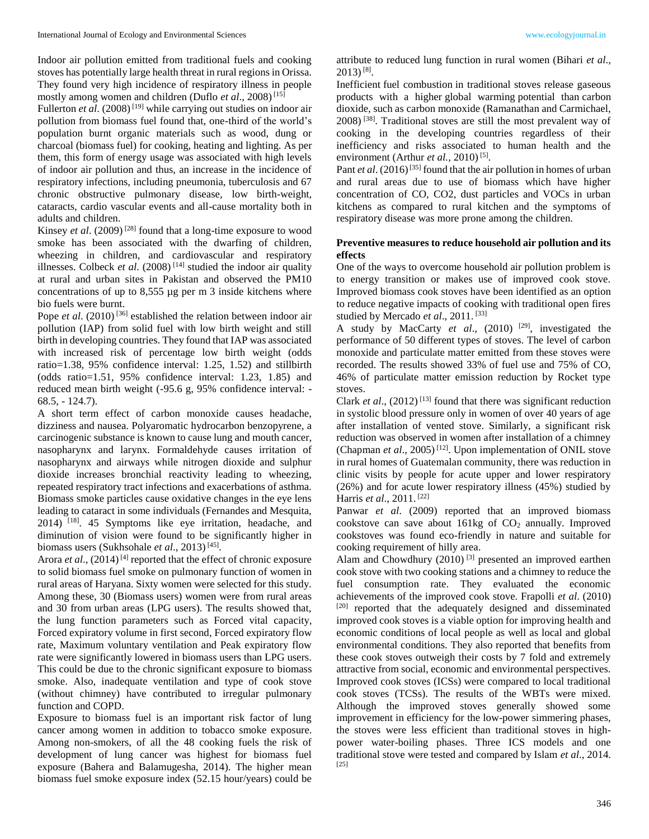Indoor air pollution emitted from traditional fuels and cooking stoves has potentially large health threat in rural regions in Orissa. They found very high incidence of respiratory illness in people mostly among women and children (Duflo *et al*., 2008) [15]

Fullerton *et al.* (2008)<sup>[19]</sup> while carrying out studies on indoor air pollution from biomass fuel found that, one-third of the world's population burnt organic materials such as wood, dung or charcoal (biomass fuel) for cooking, heating and lighting. As per them, this form of energy usage was associated with high levels of indoor air pollution and thus, an increase in the incidence of respiratory infections, including pneumonia, tuberculosis and 67 chronic obstructive pulmonary disease, low birth-weight, cataracts, cardio vascular events and all-cause mortality both in adults and children.

Kinsey *et al*. (2009) [28] found that a long-time exposure to wood smoke has been associated with the dwarfing of children, wheezing in children, and cardiovascular and respiratory illnesses. Colbeck *et al.* (2008)<sup>[14]</sup> studied the indoor air quality at rural and urban sites in Pakistan and observed the PM10 concentrations of up to 8,555 µg per m 3 inside kitchens where bio fuels were burnt.

Pope *et al.* (2010)<sup>[36]</sup> established the relation between indoor air pollution (IAP) from solid fuel with low birth weight and still birth in developing countries. They found that IAP was associated with increased risk of percentage low birth weight (odds ratio=1.38, 95% confidence interval: 1.25, 1.52) and stillbirth (odds ratio=1.51, 95% confidence interval: 1.23, 1.85) and reduced mean birth weight (-95.6 g, 95% confidence interval: - 68.5, - 124.7).

A short term effect of carbon monoxide causes headache, dizziness and nausea. Polyaromatic hydrocarbon benzopyrene, a carcinogenic substance is known to cause lung and mouth cancer, nasopharynx and larynx. Formaldehyde causes irritation of nasopharynx and airways while nitrogen dioxide and sulphur dioxide increases bronchial reactivity leading to wheezing, repeated respiratory tract infections and exacerbations of asthma. Biomass smoke particles cause oxidative changes in the eye lens leading to cataract in some individuals (Fernandes and Mesquita, 2014) [18]. 45 Symptoms like eye irritation, headache, and diminution of vision were found to be significantly higher in biomass users (Sukhsohale *et al*., 2013) [45] .

Arora *et al.*, (2014)<sup>[4]</sup> reported that the effect of chronic exposure to solid biomass fuel smoke on pulmonary function of women in rural areas of Haryana. Sixty women were selected for this study. Among these, 30 (Biomass users) women were from rural areas and 30 from urban areas (LPG users). The results showed that, the lung function parameters such as Forced vital capacity, Forced expiratory volume in first second, Forced expiratory flow rate, Maximum voluntary ventilation and Peak expiratory flow rate were significantly lowered in biomass users than LPG users. This could be due to the chronic significant exposure to biomass smoke. Also, inadequate ventilation and type of cook stove (without chimney) have contributed to irregular pulmonary function and COPD.

Exposure to biomass fuel is an important risk factor of lung cancer among women in addition to tobacco smoke exposure. Among non-smokers, of all the 48 cooking fuels the risk of development of lung cancer was highest for biomass fuel exposure (Bahera and Balamugesha, 2014). The higher mean biomass fuel smoke exposure index (52.15 hour/years) could be

attribute to reduced lung function in rural women (Bihari *et al*.,  $2013)$ <sup>[8]</sup>.

Inefficient fuel combustion in traditional stoves release gaseous products with a higher global warming potential than carbon dioxide, such as carbon monoxide (Ramanathan and Carmichael, 2008) [38]. Traditional stoves are still the most prevalent way of cooking in the developing countries regardless of their inefficiency and risks associated to human health and the environment (Arthur *et al.*, 2010)<sup>[5]</sup>.

Pant *et al.* (2016)<sup>[35]</sup> found that the air pollution in homes of urban and rural areas due to use of biomass which have higher concentration of CO, CO2, dust particles and VOCs in urban kitchens as compared to rural kitchen and the symptoms of respiratory disease was more prone among the children.

## **Preventive measures to reduce household air pollution and its effects**

One of the ways to overcome household air pollution problem is to energy transition or makes use of improved cook stove. Improved biomass cook stoves have been identified as an option to reduce negative impacts of cooking with traditional open fires studied by Mercado et al., 2011.<sup>[33]</sup>

A study by MacCarty *et al*., (2010) [29], investigated the performance of 50 different types of stoves. The level of carbon monoxide and particulate matter emitted from these stoves were recorded. The results showed 33% of fuel use and 75% of CO, 46% of particulate matter emission reduction by Rocket type stoves.

Clark *et al.*,  $(2012)^{[13]}$  found that there was significant reduction in systolic blood pressure only in women of over 40 years of age after installation of vented stove. Similarly, a significant risk reduction was observed in women after installation of a chimney (Chapman *et al.*, 2005)<sup>[12]</sup>. Upon implementation of ONIL stove in rural homes of Guatemalan community, there was reduction in clinic visits by people for acute upper and lower respiratory (26%) and for acute lower respiratory illness (45%) studied by Harris *et al*., 2011. [22]

Panwar *et al*. (2009) reported that an improved biomass cookstove can save about  $161\text{kg}$  of  $CO<sub>2</sub>$  annually. Improved cookstoves was found eco-friendly in nature and suitable for cooking requirement of hilly area.

Alam and Chowdhury (2010)<sup>[3]</sup> presented an improved earthen cook stove with two cooking stations and a chimney to reduce the fuel consumption rate. They evaluated the economic achievements of the improved cook stove. Frapolli *et al*. (2010) [20] reported that the adequately designed and disseminated improved cook stoves is a viable option for improving health and economic conditions of local people as well as local and global environmental conditions. They also reported that benefits from these cook stoves outweigh their costs by 7 fold and extremely attractive from social, economic and environmental perspectives. Improved cook stoves (ICSs) were compared to local traditional cook stoves (TCSs). The results of the WBTs were mixed. Although the improved stoves generally showed some improvement in efficiency for the low-power simmering phases, the stoves were less efficient than traditional stoves in highpower water-boiling phases. Three ICS models and one traditional stove were tested and compared by Islam *et al*., 2014. [25]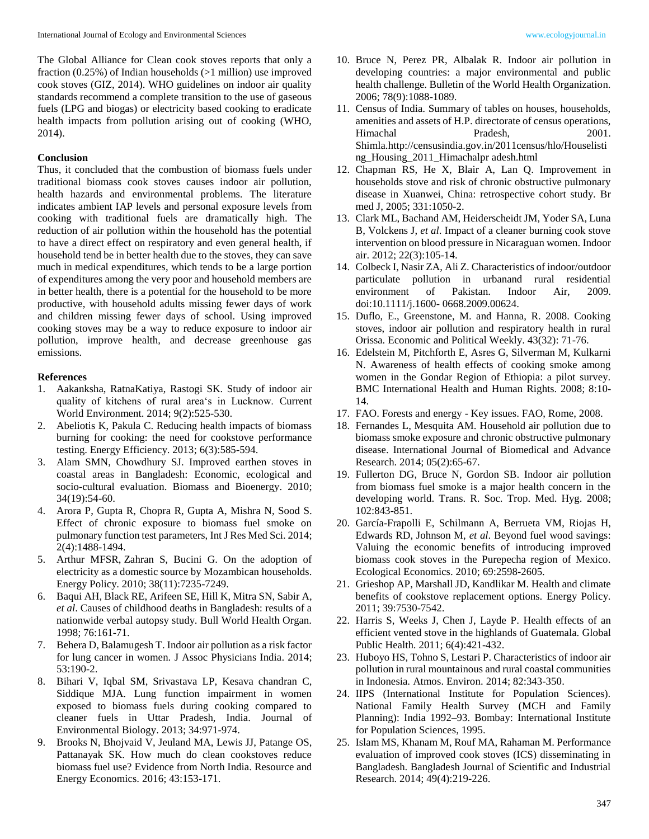The Global Alliance for Clean cook stoves reports that only a fraction  $(0.25\%)$  of Indian households  $(>1$  million) use improved cook stoves (GIZ, 2014). WHO guidelines on indoor air quality standards recommend a complete transition to the use of gaseous fuels (LPG and biogas) or electricity based cooking to eradicate health impacts from pollution arising out of cooking (WHO, 2014).

## **Conclusion**

Thus, it concluded that the combustion of biomass fuels under traditional biomass cook stoves causes indoor air pollution, health hazards and environmental problems. The literature indicates ambient IAP levels and personal exposure levels from cooking with traditional fuels are dramatically high. The reduction of air pollution within the household has the potential to have a direct effect on respiratory and even general health, if household tend be in better health due to the stoves, they can save much in medical expenditures, which tends to be a large portion of expenditures among the very poor and household members are in better health, there is a potential for the household to be more productive, with household adults missing fewer days of work and children missing fewer days of school. Using improved cooking stoves may be a way to reduce exposure to indoor air pollution, improve health, and decrease greenhouse gas emissions.

### **References**

- 1. Aakanksha, RatnaKatiya, Rastogi SK. Study of indoor air quality of kitchens of rural area's in Lucknow. Current World Environment. 2014; 9(2):525-530.
- 2. Abeliotis K, Pakula C. Reducing health impacts of biomass burning for cooking: the need for cookstove performance testing. Energy Efficiency. 2013; 6(3):585-594.
- 3. Alam SMN, Chowdhury SJ. Improved earthen stoves in coastal areas in Bangladesh: Economic, ecological and socio-cultural evaluation. Biomass and Bioenergy. 2010; 34(19):54-60.
- 4. Arora P, Gupta R, Chopra R, Gupta A, Mishra N, Sood S. Effect of chronic exposure to biomass fuel smoke on pulmonary function test parameters, Int J Res Med Sci. 2014; 2(4):1488-1494.
- 5. Arthur MFSR, Zahran S, Bucini G. On the adoption of electricity as a domestic source by Mozambican households. Energy Policy. 2010; 38(11):7235-7249.
- 6. Baqui AH, Black RE, Arifeen SE, Hill K, Mitra SN, Sabir A, *et al*. Causes of childhood deaths in Bangladesh: results of a nationwide verbal autopsy study. Bull World Health Organ. 1998; 76:161-71.
- 7. Behera D, Balamugesh T. Indoor air pollution as a risk factor for lung cancer in women. J Assoc Physicians India. 2014; 53:190-2.
- 8. Bihari V, Iqbal SM, Srivastava LP, Kesava chandran C, Siddique MJA. Lung function impairment in women exposed to biomass fuels during cooking compared to cleaner fuels in Uttar Pradesh, India. Journal of Environmental Biology. 2013; 34:971-974.
- 9. Brooks N, Bhojvaid V, Jeuland MA, Lewis JJ, Patange OS, Pattanayak SK. How much do clean cookstoves reduce biomass fuel use? Evidence from North India. Resource and Energy Economics. 2016; 43:153-171.
- 10. Bruce N, Perez PR, Albalak R. Indoor air pollution in developing countries: a major environmental and public health challenge. Bulletin of the World Health Organization. 2006; 78(9):1088-1089.
- 11. Census of India. Summary of tables on houses, households, amenities and assets of H.P. directorate of census operations, Himachal Pradesh, 2001. Shimla.http://censusindia.gov.in/2011census/hlo/Houselisti ng\_Housing\_2011\_Himachalpr adesh.html
- 12. Chapman RS, He X, Blair A, Lan Q. Improvement in households stove and risk of chronic obstructive pulmonary disease in Xuanwei, China: retrospective cohort study. Br med J, 2005; 331:1050-2.
- 13. Clark ML, Bachand AM, Heiderscheidt JM, Yoder SA, Luna B, Volckens J, *et al*. Impact of a cleaner burning cook stove intervention on blood pressure in Nicaraguan women. Indoor air. 2012; 22(3):105-14.
- 14. Colbeck I, Nasir ZA, Ali Z. Characteristics of indoor/outdoor particulate pollution in urbanand rural residential environment of Pakistan. Indoor Air, 2009. doi:10.1111/j.1600- 0668.2009.00624.
- 15. Duflo, E., Greenstone, M. and Hanna, R. 2008. Cooking stoves, indoor air pollution and respiratory health in rural Orissa. Economic and Political Weekly. 43(32): 71-76.
- 16. Edelstein M, Pitchforth E, Asres G, Silverman M, Kulkarni N. Awareness of health effects of cooking smoke among women in the Gondar Region of Ethiopia: a pilot survey. BMC International Health and Human Rights. 2008; 8:10- 14.
- 17. FAO. Forests and energy Key issues. FAO, Rome, 2008.
- 18. Fernandes L, Mesquita AM. Household air pollution due to biomass smoke exposure and chronic obstructive pulmonary disease. International Journal of Biomedical and Advance Research. 2014; 05(2):65-67.
- 19. Fullerton DG, Bruce N, Gordon SB. Indoor air pollution from biomass fuel smoke is a major health concern in the developing world. Trans. R. Soc. Trop. Med. Hyg. 2008; 102:843-851.
- 20. García-Frapolli E, Schilmann A, Berrueta VM, Riojas H, Edwards RD, Johnson M, *et al*. Beyond fuel wood savings: Valuing the economic benefits of introducing improved biomass cook stoves in the Purepecha region of Mexico. Ecological Economics. 2010; 69:2598-2605.
- 21. Grieshop AP, Marshall JD, Kandlikar M. Health and climate benefits of cookstove replacement options. Energy Policy. 2011; 39:7530-7542.
- 22. Harris S, Weeks J, Chen J, Layde P. Health effects of an efficient vented stove in the highlands of Guatemala. Global Public Health. 2011; 6(4):421-432.
- 23. Huboyo HS, Tohno S, Lestari P. Characteristics of indoor air pollution in rural mountainous and rural coastal communities in Indonesia. Atmos. Environ. 2014; 82:343-350.
- 24. IIPS (International Institute for Population Sciences). National Family Health Survey (MCH and Family Planning): India 1992–93. Bombay: International Institute for Population Sciences, 1995.
- 25. Islam MS, Khanam M, Rouf MA, Rahaman M. Performance evaluation of improved cook stoves (ICS) disseminating in Bangladesh. Bangladesh Journal of Scientific and Industrial Research. 2014; 49(4):219-226.